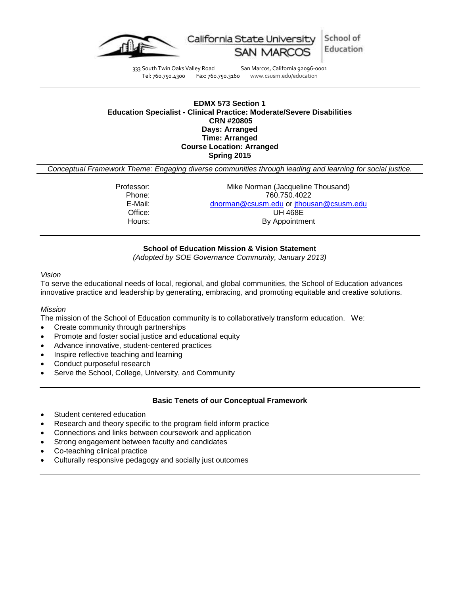

333 South Twin Oaks Valley Road San Marcos, California 92096-0001<br>Tel: 760.750.4300 Fax: 760.750.3160 www.csusm.edu/education Tel: 760.750.4300 Fax: 760.750.3160 www.csusm.edu/education

School of

Education

## **EDMX 573 Section 1 Education Specialist - Clinical Practice: Moderate/Severe Disabilities CRN #20805 Days: Arranged Time: Arranged Course Location: Arranged Spring 2015**

*Conceptual Framework Theme: Engaging diverse communities through leading and learning for social justice.*

| Professor: | Mike Norman (Jacqueline Thousand)       |
|------------|-----------------------------------------|
| Phone:     | 760.750.4022                            |
|            |                                         |
| E-Mail:    | dnorman@csusm.edu or jthousan@csusm.edu |
| Office:    | UH 468E                                 |
| Hours:     | By Appointment                          |
|            |                                         |

## **School of Education Mission & Vision Statement**

*(Adopted by SOE Governance Community, January 2013)*

## *Vision*

To serve the educational needs of local, regional, and global communities, the School of Education advances innovative practice and leadership by generating, embracing, and promoting equitable and creative solutions.

#### *Mission*

The mission of the School of Education community is to collaboratively transform education. We:

- Create community through partnerships
- Promote and foster social justice and educational equity
- Advance innovative, student-centered practices
- Inspire reflective teaching and learning
- Conduct purposeful research
- Serve the School, College, University, and Community

#### **Basic Tenets of our Conceptual Framework**

- Student centered education
- Research and theory specific to the program field inform practice
- Connections and links between coursework and application
- Strong engagement between faculty and candidates
- Co-teaching clinical practice
- Culturally responsive pedagogy and socially just outcomes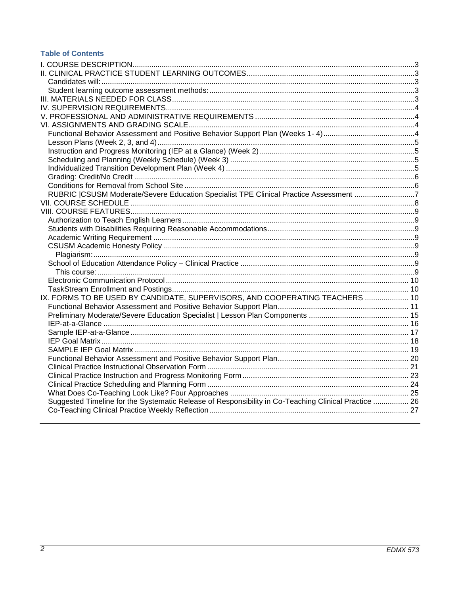# **Table of Contents**

<span id="page-1-0"></span>

| RUBRIC  CSUSM Moderate/Severe Education Specialist TPE Clinical Practice Assessment 7                |  |
|------------------------------------------------------------------------------------------------------|--|
|                                                                                                      |  |
|                                                                                                      |  |
|                                                                                                      |  |
|                                                                                                      |  |
|                                                                                                      |  |
|                                                                                                      |  |
|                                                                                                      |  |
|                                                                                                      |  |
|                                                                                                      |  |
|                                                                                                      |  |
|                                                                                                      |  |
| IX. FORMS TO BE USED BY CANDIDATE, SUPERVISORS, AND COOPERATING TEACHERS  10                         |  |
|                                                                                                      |  |
|                                                                                                      |  |
|                                                                                                      |  |
|                                                                                                      |  |
|                                                                                                      |  |
|                                                                                                      |  |
|                                                                                                      |  |
|                                                                                                      |  |
|                                                                                                      |  |
|                                                                                                      |  |
|                                                                                                      |  |
| Suggested Timeline for the Systematic Release of Responsibility in Co-Teaching Clinical Practice  26 |  |
|                                                                                                      |  |
|                                                                                                      |  |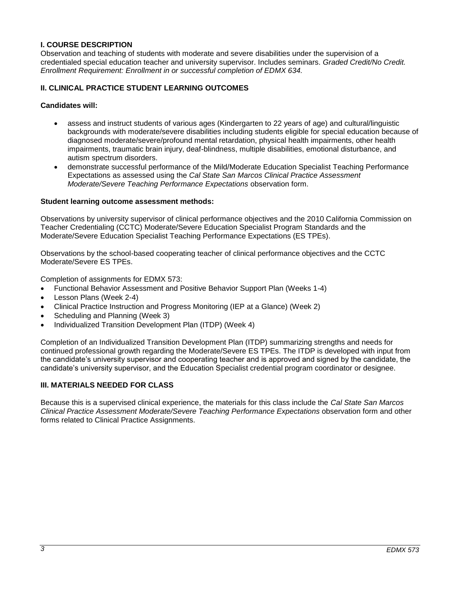## **I. COURSE DESCRIPTION**

Observation and teaching of students with moderate and severe disabilities under the supervision of a credentialed special education teacher and university supervisor. Includes seminars. *Graded Credit/No Credit. Enrollment Requirement: Enrollment in or successful completion of EDMX 634.*

## <span id="page-2-0"></span>**II. CLINICAL PRACTICE STUDENT LEARNING OUTCOMES**

#### <span id="page-2-1"></span>**Candidates will:**

- assess and instruct students of various ages (Kindergarten to 22 years of age) and cultural/linguistic backgrounds with moderate/severe disabilities including students eligible for special education because of diagnosed moderate/severe/profound mental retardation, physical health impairments, other health impairments, traumatic brain injury, deaf-blindness, multiple disabilities, emotional disturbance, and autism spectrum disorders.
- demonstrate successful performance of the Mild/Moderate Education Specialist Teaching Performance Expectations as assessed using the *Cal State San Marcos Clinical Practice Assessment Moderate/Severe Teaching Performance Expectations* observation form.

#### <span id="page-2-2"></span>**Student learning outcome assessment methods:**

Observations by university supervisor of clinical performance objectives and the 2010 California Commission on Teacher Credentialing (CCTC) Moderate/Severe Education Specialist Program Standards and the Moderate/Severe Education Specialist Teaching Performance Expectations (ES TPEs).

Observations by the school-based cooperating teacher of clinical performance objectives and the CCTC Moderate/Severe ES TPEs.

Completion of assignments for EDMX 573:

- Functional Behavior Assessment and Positive Behavior Support Plan (Weeks 1-4)
- Lesson Plans (Week 2-4)
- Clinical Practice Instruction and Progress Monitoring (IEP at a Glance) (Week 2)
- Scheduling and Planning (Week 3)
- Individualized Transition Development Plan (ITDP) (Week 4)

Completion of an Individualized Transition Development Plan (ITDP) summarizing strengths and needs for continued professional growth regarding the Moderate/Severe ES TPEs. The ITDP is developed with input from the candidate's university supervisor and cooperating teacher and is approved and signed by the candidate, the candidate's university supervisor, and the Education Specialist credential program coordinator or designee.

## <span id="page-2-3"></span>**III. MATERIALS NEEDED FOR CLASS**

<span id="page-2-4"></span>Because this is a supervised clinical experience, the materials for this class include the *Cal State San Marcos Clinical Practice Assessment Moderate/Severe Teaching Performance Expectations* observation form and other forms related to Clinical Practice Assignments.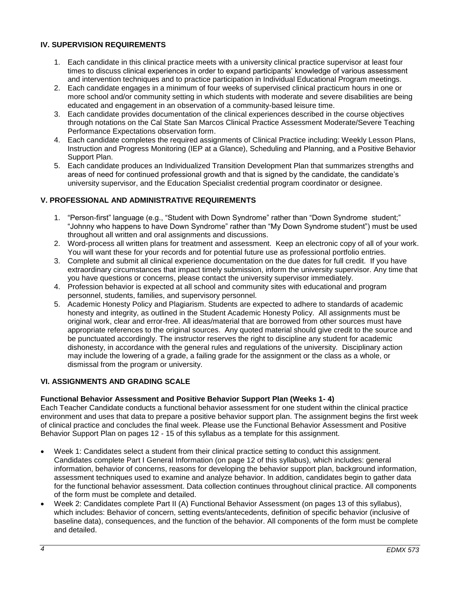## **IV. SUPERVISION REQUIREMENTS**

- 1. Each candidate in this clinical practice meets with a university clinical practice supervisor at least four times to discuss clinical experiences in order to expand participants' knowledge of various assessment and intervention techniques and to practice participation in Individual Educational Program meetings.
- 2. Each candidate engages in a minimum of four weeks of supervised clinical practicum hours in one or more school and/or community setting in which students with moderate and severe disabilities are being educated and engagement in an observation of a community-based leisure time.
- 3. Each candidate provides documentation of the clinical experiences described in the course objectives through notations on the Cal State San Marcos Clinical Practice Assessment Moderate/Severe Teaching Performance Expectations observation form.
- 4. Each candidate completes the required assignments of Clinical Practice including: Weekly Lesson Plans, Instruction and Progress Monitoring (IEP at a Glance), Scheduling and Planning, and a Positive Behavior Support Plan.
- 5. Each candidate produces an Individualized Transition Development Plan that summarizes strengths and areas of need for continued professional growth and that is signed by the candidate, the candidate's university supervisor, and the Education Specialist credential program coordinator or designee.

## <span id="page-3-0"></span>**V. PROFESSIONAL AND ADMINISTRATIVE REQUIREMENTS**

- 1. "Person-first" language (e.g., "Student with Down Syndrome" rather than "Down Syndrome student;" "Johnny who happens to have Down Syndrome" rather than "My Down Syndrome student") must be used throughout all written and oral assignments and discussions.
- 2. Word-process all written plans for treatment and assessment. Keep an electronic copy of all of your work. You will want these for your records and for potential future use as professional portfolio entries.
- 3. Complete and submit all clinical experience documentation on the due dates for full credit. If you have extraordinary circumstances that impact timely submission, inform the university supervisor. Any time that you have questions or concerns, please contact the university supervisor immediately.
- 4. Profession behavior is expected at all school and community sites with educational and program personnel, students, families, and supervisory personnel.
- 5. Academic Honesty Policy and Plagiarism. Students are expected to adhere to standards of academic honesty and integrity, as outlined in the Student Academic Honesty Policy. All assignments must be original work, clear and error-free. All ideas/material that are borrowed from other sources must have appropriate references to the original sources. Any quoted material should give credit to the source and be punctuated accordingly. The instructor reserves the right to discipline any student for academic dishonesty, in accordance with the general rules and regulations of the university. Disciplinary action may include the lowering of a grade, a failing grade for the assignment or the class as a whole, or dismissal from the program or university.

## <span id="page-3-1"></span>**VI. ASSIGNMENTS AND GRADING SCALE**

## <span id="page-3-2"></span>**Functional Behavior Assessment and Positive Behavior Support Plan (Weeks 1- 4)**

Each Teacher Candidate conducts a functional behavior assessment for one student within the clinical practice environment and uses that data to prepare a positive behavior support plan. The assignment begins the first week of clinical practice and concludes the final week. Please use the Functional Behavior Assessment and Positive Behavior Support Plan on pages 12 - 15 of this syllabus as a template for this assignment.

- Week 1: Candidates select a student from their clinical practice setting to conduct this assignment. Candidates complete Part I General Information (on page 12 of this syllabus), which includes: general information, behavior of concerns, reasons for developing the behavior support plan, background information, assessment techniques used to examine and analyze behavior. In addition, candidates begin to gather data for the functional behavior assessment. Data collection continues throughout clinical practice. All components of the form must be complete and detailed.
- Week 2: Candidates complete Part II (A) Functional Behavior Assessment (on pages 13 of this syllabus), which includes: Behavior of concern, setting events/antecedents, definition of specific behavior (inclusive of baseline data), consequences, and the function of the behavior. All components of the form must be complete and detailed.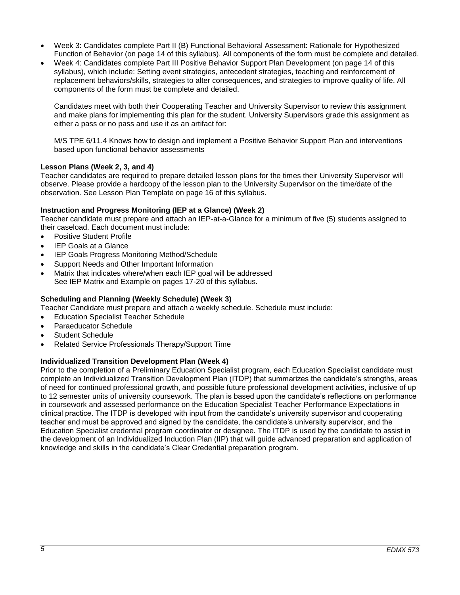- Week 3: Candidates complete Part II (B) Functional Behavioral Assessment: Rationale for Hypothesized Function of Behavior (on page 14 of this syllabus). All components of the form must be complete and detailed.
- Week 4: Candidates complete Part III Positive Behavior Support Plan Development (on page 14 of this syllabus), which include: Setting event strategies, antecedent strategies, teaching and reinforcement of replacement behaviors/skills, strategies to alter consequences, and strategies to improve quality of life. All components of the form must be complete and detailed.

Candidates meet with both their Cooperating Teacher and University Supervisor to review this assignment and make plans for implementing this plan for the student. University Supervisors grade this assignment as either a pass or no pass and use it as an artifact for:

M/S TPE 6/11.4 Knows how to design and implement a Positive Behavior Support Plan and interventions based upon functional behavior assessments

## <span id="page-4-0"></span>**Lesson Plans (Week 2, 3, and 4)**

Teacher candidates are required to prepare detailed lesson plans for the times their University Supervisor will observe. Please provide a hardcopy of the lesson plan to the University Supervisor on the time/date of the observation. See Lesson Plan Template on page 16 of this syllabus.

## <span id="page-4-1"></span>**Instruction and Progress Monitoring (IEP at a Glance) (Week 2)**

Teacher candidate must prepare and attach an IEP-at-a-Glance for a minimum of five (5) students assigned to their caseload. Each document must include:

- Positive Student Profile
- IEP Goals at a Glance
- IEP Goals Progress Monitoring Method/Schedule
- Support Needs and Other Important Information
- Matrix that indicates where/when each IEP goal will be addressed See IEP Matrix and Example on pages 17-20 of this syllabus.

#### <span id="page-4-2"></span>**Scheduling and Planning (Weekly Schedule) (Week 3)**

Teacher Candidate must prepare and attach a weekly schedule. Schedule must include:

- Education Specialist Teacher Schedule
- Paraeducator Schedule
- Student Schedule
- Related Service Professionals Therapy/Support Time

#### <span id="page-4-3"></span>**Individualized Transition Development Plan (Week 4)**

<span id="page-4-4"></span>Prior to the completion of a Preliminary Education Specialist program, each Education Specialist candidate must complete an Individualized Transition Development Plan (ITDP) that summarizes the candidate's strengths, areas of need for continued professional growth, and possible future professional development activities, inclusive of up to 12 semester units of university coursework. The plan is based upon the candidate's reflections on performance in coursework and assessed performance on the Education Specialist Teacher Performance Expectations in clinical practice. The ITDP is developed with input from the candidate's university supervisor and cooperating teacher and must be approved and signed by the candidate, the candidate's university supervisor, and the Education Specialist credential program coordinator or designee. The ITDP is used by the candidate to assist in the development of an Individualized Induction Plan (IIP) that will guide advanced preparation and application of knowledge and skills in the candidate's Clear Credential preparation program.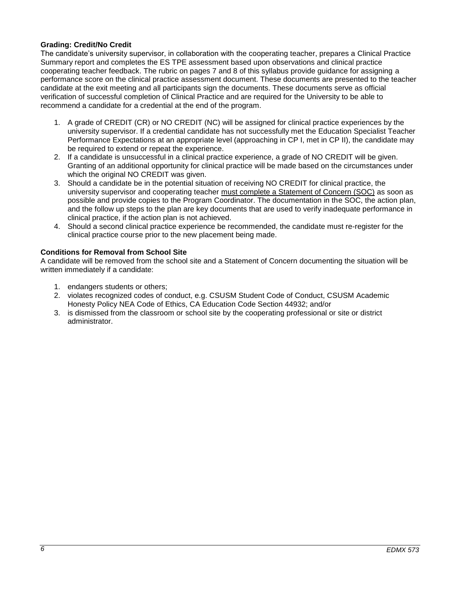## **Grading: Credit/No Credit**

The candidate's university supervisor, in collaboration with the cooperating teacher, prepares a Clinical Practice Summary report and completes the ES TPE assessment based upon observations and clinical practice cooperating teacher feedback. The rubric on pages 7 and 8 of this syllabus provide guidance for assigning a performance score on the clinical practice assessment document. These documents are presented to the teacher candidate at the exit meeting and all participants sign the documents. These documents serve as official verification of successful completion of Clinical Practice and are required for the University to be able to recommend a candidate for a credential at the end of the program.

- 1. A grade of CREDIT (CR) or NO CREDIT (NC) will be assigned for clinical practice experiences by the university supervisor. If a credential candidate has not successfully met the Education Specialist Teacher Performance Expectations at an appropriate level (approaching in CP I, met in CP II), the candidate may be required to extend or repeat the experience.
- 2. If a candidate is unsuccessful in a clinical practice experience, a grade of NO CREDIT will be given. Granting of an additional opportunity for clinical practice will be made based on the circumstances under which the original NO CREDIT was given.
- 3. Should a candidate be in the potential situation of receiving NO CREDIT for clinical practice, the university supervisor and cooperating teacher must complete a Statement of Concern (SOC) as soon as possible and provide copies to the Program Coordinator. The documentation in the SOC, the action plan, and the follow up steps to the plan are key documents that are used to verify inadequate performance in clinical practice, if the action plan is not achieved.
- 4. Should a second clinical practice experience be recommended, the candidate must re-register for the clinical practice course prior to the new placement being made.

## <span id="page-5-0"></span>**Conditions for Removal from School Site**

A candidate will be removed from the school site and a Statement of Concern documenting the situation will be written immediately if a candidate:

- 1. endangers students or others;
- 2. violates recognized codes of conduct, e.g. CSUSM Student Code of Conduct, CSUSM Academic Honesty Policy NEA Code of Ethics, CA Education Code Section 44932; and/or
- <span id="page-5-1"></span>3. is dismissed from the classroom or school site by the cooperating professional or site or district administrator.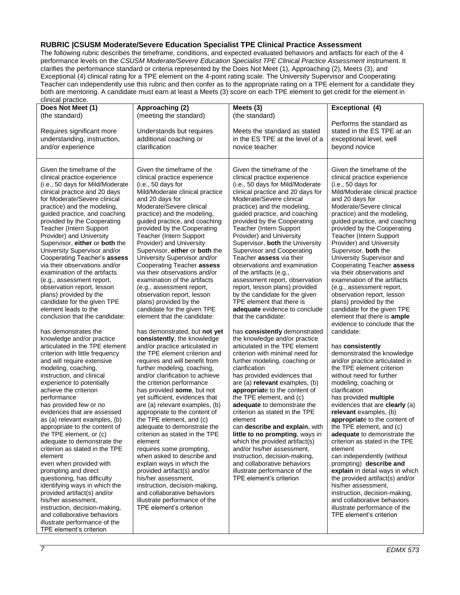#### **RUBRIC |CSUSM Moderate/Severe Education Specialist TPE Clinical Practice Assessment**

The following rubric describes the timeframe, conditions, and expected evaluated behaviors and artifacts for each of the 4 performance levels on the *CSUSM Moderate/Severe Education Specialist TPE Clinical Practice Assessment* instrument. It clarifies the performance standard or criteria represented by the Does Not Meet (1), Approaching (2), Meets (3), and Exceptional (4) clinical rating for a TPE element on the 4-point rating scale. The University Supervisor and Cooperating Teacher can independently use this rubric and then confer as to the appropriate rating on a TPE element for a candidate they both are mentoring. A candidate must earn at least a Meets (3) score on each TPE element to get credit for the element in

<span id="page-6-0"></span>

| Does Not Meet (1)                                                                                                                                                                                                                                                                                                                                                                                                                                                                                                                                                                                                                                                                                                                                                                                                                                                                                                                                                                                                                                                                                                                                                                                                                                                                                                                                                                                                                                                                              | Approaching (2)                                                                                                                                                                                                                                                                                                                                                                                                                                                                                                                                                                                                                                                                                                                                                                                                                                                                                                                                                                                                                                                                                                                                                                                                                                                                                                                                                                                                                      | Meets (3)                                                                                                                                                                                                                                                                                                                                                                                                                                                                                                                                                                                                                                                                                                                                                                                                                                                                                                                                                                                                                                                                                                                                                                                                                                                                                                                                           | Exceptional (4)                                                                                                                                                                                                                                                                                                                                                                                                                                                                                                                                                                                                                                                                                                                                                                                                                                                                                                                                                                                                                                                                                                                                                                                                                                                                                                                                                                           |
|------------------------------------------------------------------------------------------------------------------------------------------------------------------------------------------------------------------------------------------------------------------------------------------------------------------------------------------------------------------------------------------------------------------------------------------------------------------------------------------------------------------------------------------------------------------------------------------------------------------------------------------------------------------------------------------------------------------------------------------------------------------------------------------------------------------------------------------------------------------------------------------------------------------------------------------------------------------------------------------------------------------------------------------------------------------------------------------------------------------------------------------------------------------------------------------------------------------------------------------------------------------------------------------------------------------------------------------------------------------------------------------------------------------------------------------------------------------------------------------------|--------------------------------------------------------------------------------------------------------------------------------------------------------------------------------------------------------------------------------------------------------------------------------------------------------------------------------------------------------------------------------------------------------------------------------------------------------------------------------------------------------------------------------------------------------------------------------------------------------------------------------------------------------------------------------------------------------------------------------------------------------------------------------------------------------------------------------------------------------------------------------------------------------------------------------------------------------------------------------------------------------------------------------------------------------------------------------------------------------------------------------------------------------------------------------------------------------------------------------------------------------------------------------------------------------------------------------------------------------------------------------------------------------------------------------------|-----------------------------------------------------------------------------------------------------------------------------------------------------------------------------------------------------------------------------------------------------------------------------------------------------------------------------------------------------------------------------------------------------------------------------------------------------------------------------------------------------------------------------------------------------------------------------------------------------------------------------------------------------------------------------------------------------------------------------------------------------------------------------------------------------------------------------------------------------------------------------------------------------------------------------------------------------------------------------------------------------------------------------------------------------------------------------------------------------------------------------------------------------------------------------------------------------------------------------------------------------------------------------------------------------------------------------------------------------|-------------------------------------------------------------------------------------------------------------------------------------------------------------------------------------------------------------------------------------------------------------------------------------------------------------------------------------------------------------------------------------------------------------------------------------------------------------------------------------------------------------------------------------------------------------------------------------------------------------------------------------------------------------------------------------------------------------------------------------------------------------------------------------------------------------------------------------------------------------------------------------------------------------------------------------------------------------------------------------------------------------------------------------------------------------------------------------------------------------------------------------------------------------------------------------------------------------------------------------------------------------------------------------------------------------------------------------------------------------------------------------------|
| (the standard)<br>Requires significant more<br>understanding, instruction,<br>and/or experience                                                                                                                                                                                                                                                                                                                                                                                                                                                                                                                                                                                                                                                                                                                                                                                                                                                                                                                                                                                                                                                                                                                                                                                                                                                                                                                                                                                                | (meeting the standard)<br>Understands but requires<br>additional coaching or<br>clarification                                                                                                                                                                                                                                                                                                                                                                                                                                                                                                                                                                                                                                                                                                                                                                                                                                                                                                                                                                                                                                                                                                                                                                                                                                                                                                                                        | (the standard)<br>Meets the standard as stated<br>in the ES TPE at the level of a<br>novice teacher                                                                                                                                                                                                                                                                                                                                                                                                                                                                                                                                                                                                                                                                                                                                                                                                                                                                                                                                                                                                                                                                                                                                                                                                                                                 | Performs the standard as<br>stated in the ES TPE at an<br>exceptional level, well<br>beyond novice                                                                                                                                                                                                                                                                                                                                                                                                                                                                                                                                                                                                                                                                                                                                                                                                                                                                                                                                                                                                                                                                                                                                                                                                                                                                                        |
| Given the timeframe of the<br>clinical practice experience<br>(i.e., 50 days for Mild/Moderate<br>clinical practice and 20 days<br>for Moderate/Severe clinical<br>practice) and the modeling,<br>guided practice, and coaching<br>provided by the Cooperating<br>Teacher (Intern Support<br>Provider) and University<br>Supervisor, either or both the<br>University Supervisor and/or<br>Cooperating Teacher's assess<br>via their observations and/or<br>examination of the artifacts<br>(e.g., assessment report,<br>observation report, lesson<br>plans) provided by the<br>candidate for the given TPE<br>element leads to the<br>conclusion that the candidate:<br>has demonstrates the<br>knowledge and/or practice<br>articulated in the TPE element<br>criterion with little frequency<br>and will require extensive<br>modeling, coaching,<br>instruction, and clinical<br>experience to potentially<br>achieve the criterion<br>performance<br>has provided few or no<br>evidences that are assessed<br>as (a) relevant examples, (b)<br>appropriate to the content of<br>the TPE element, or (c)<br>adequate to demonstrate the<br>criterion as stated in the TPE<br>element<br>even when provided with<br>prompting and direct<br>questioning, has difficulty<br>identifying ways in which the<br>provided artifact(s) and/or<br>his/her assessment,<br>instruction, decision-making,<br>and collaborative behaviors<br>illustrate performance of the<br>TPE element's criterion | Given the timeframe of the<br>clinical practice experience<br>(i.e., 50 days for<br>Mild/Moderate clinical practice<br>and 20 days for<br>Moderate/Severe clinical<br>practice) and the modeling,<br>guided practice, and coaching<br>provided by the Cooperating<br>Teacher (Intern Support<br>Provider) and University<br>Supervisor, either or both the<br>University Supervisor and/or<br>Cooperating Teacher assess<br>via their observations and/or<br>examination of the artifacts<br>(e.g., assessment report,<br>observation report, lesson<br>plans) provided by the<br>candidate for the given TPE<br>element that the candidate:<br>has demonstrated, but not yet<br>consistently, the knowledge<br>and/or practice articulated in<br>the TPE element criterion and<br>requires and will benefit from<br>further modeling, coaching,<br>and/or clarification to achieve<br>the criterion performance<br>has provided some, but not<br>yet sufficient, evidences that<br>are (a) relevant examples, (b)<br>appropriate to the content of<br>the TPE element, and (c)<br>adequate to demonstrate the<br>criterion as stated in the TPE<br>element<br>requires some prompting,<br>when asked to describe and<br>explain ways in which the<br>provided artifact(s) and/or<br>his/her assessment,<br>instruction, decision-making,<br>and collaborative behaviors<br>illustrate performance of the<br>TPE element's criterion | Given the timeframe of the<br>clinical practice experience<br>(i.e., 50 days for Mild/Moderate<br>clinical practice and 20 days for<br>Moderate/Severe clinical<br>practice) and the modeling,<br>guided practice, and coaching<br>provided by the Cooperating<br>Teacher (Intern Support<br>Provider) and University<br>Supervisor, both the University<br><b>Supervisor and Cooperating</b><br>Teacher assess via their<br>observations and examination<br>of the artifacts (e.g.,<br>assessment report, observation<br>report, lesson plans) provided<br>by the candidate for the given<br>TPE element that there is<br>adequate evidence to conclude<br>that the candidate:<br>has consistently demonstrated<br>the knowledge and/or practice<br>articulated in the TPE element<br>criterion with minimal need for<br>further modeling, coaching or<br>clarification<br>has provided evidences that<br>are (a) relevant examples, (b)<br>appropriate to the content of<br>the TPE element, and (c)<br>adequate to demonstrate the<br>criterion as stated in the TPE<br>element<br>can describe and explain, with<br>little to no prompting, ways in<br>which the provided artifact(s)<br>and/or his/her assessment,<br>instruction, decision-making,<br>and collaborative behaviors<br>illustrate performance of the<br>TPE element's criterion | Given the timeframe of the<br>clinical practice experience<br>(i.e., 50 days for<br>Mild/Moderate clinical practice<br>and 20 days for<br>Moderate/Severe clinical<br>practice) and the modeling,<br>guided practice, and coaching<br>provided by the Cooperating<br>Teacher (Intern Support<br>Provider) and University<br>Supervisor, both the<br>University Supervisor and<br>Cooperating Teacher assess<br>via their observations and<br>examination of the artifacts<br>(e.g., assessment report,<br>observation report, lesson<br>plans) provided by the<br>candidate for the given TPE<br>element that there is <b>ample</b><br>evidence to conclude that the<br>candidate:<br>has consistently<br>demonstrated the knowledge<br>and/or practice articulated in<br>the TPE element criterion<br>without need for further<br>modeling, coaching or<br>clarification<br>has provided multiple<br>evidences that are clearly (a)<br>relevant examples, (b)<br>appropriate to the content of<br>the TPE element, and (c)<br>adequate to demonstrate the<br>criterion as stated in the TPE<br>element<br>can independently (without<br>prompting) describe and<br>explain in detail ways in which<br>the provided artifact(s) and/or<br>his/her assessment,<br>instruction, decision-making,<br>and collaborative behaviors<br>illustrate performance of the<br>TPE element's criterion |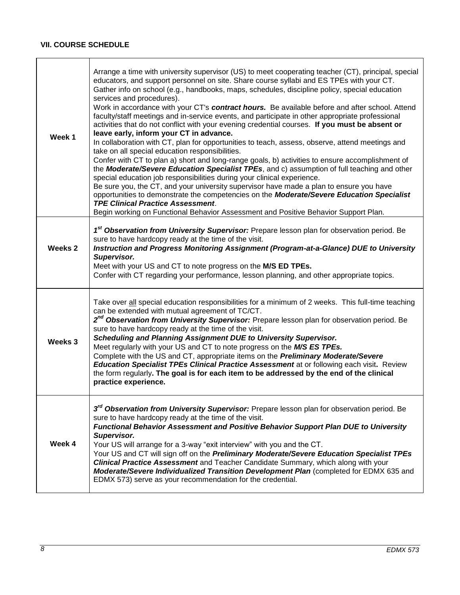# **VII. COURSE SCHEDULE**

<span id="page-7-0"></span>

| Week 1  | Arrange a time with university supervisor (US) to meet cooperating teacher (CT), principal, special<br>educators, and support personnel on site. Share course syllabi and ES TPEs with your CT.<br>Gather info on school (e.g., handbooks, maps, schedules, discipline policy, special education<br>services and procedures).<br>Work in accordance with your CT's contract hours. Be available before and after school. Attend<br>faculty/staff meetings and in-service events, and participate in other appropriate professional<br>activities that do not conflict with your evening credential courses. If you must be absent or<br>leave early, inform your CT in advance.<br>In collaboration with CT, plan for opportunities to teach, assess, observe, attend meetings and<br>take on all special education responsibilities.<br>Confer with CT to plan a) short and long-range goals, b) activities to ensure accomplishment of<br>the Moderate/Severe Education Specialist TPEs, and c) assumption of full teaching and other<br>special education job responsibilities during your clinical experience.<br>Be sure you, the CT, and your university supervisor have made a plan to ensure you have<br>opportunities to demonstrate the competencies on the Moderate/Severe Education Specialist<br><b>TPE Clinical Practice Assessment.</b><br>Begin working on Functional Behavior Assessment and Positive Behavior Support Plan. |
|---------|-----------------------------------------------------------------------------------------------------------------------------------------------------------------------------------------------------------------------------------------------------------------------------------------------------------------------------------------------------------------------------------------------------------------------------------------------------------------------------------------------------------------------------------------------------------------------------------------------------------------------------------------------------------------------------------------------------------------------------------------------------------------------------------------------------------------------------------------------------------------------------------------------------------------------------------------------------------------------------------------------------------------------------------------------------------------------------------------------------------------------------------------------------------------------------------------------------------------------------------------------------------------------------------------------------------------------------------------------------------------------------------------------------------------------------------------------|
| Weeks 2 | 1 <sup>st</sup> Observation from University Supervisor: Prepare lesson plan for observation period. Be<br>sure to have hardcopy ready at the time of the visit.<br>Instruction and Progress Monitoring Assignment (Program-at-a-Glance) DUE to University<br>Supervisor.<br>Meet with your US and CT to note progress on the M/S ED TPEs.<br>Confer with CT regarding your performance, lesson planning, and other appropriate topics.                                                                                                                                                                                                                                                                                                                                                                                                                                                                                                                                                                                                                                                                                                                                                                                                                                                                                                                                                                                                        |
| Weeks 3 | Take over all special education responsibilities for a minimum of 2 weeks. This full-time teaching<br>can be extended with mutual agreement of TC/CT.<br>2 <sup>nd</sup> Observation from University Supervisor: Prepare lesson plan for observation period. Be<br>sure to have hardcopy ready at the time of the visit.<br>Scheduling and Planning Assignment DUE to University Supervisor.<br>Meet regularly with your US and CT to note progress on the M/S ES TPEs.<br>Complete with the US and CT, appropriate items on the <b>Preliminary Moderate/Severe</b><br><b>Education Specialist TPEs Clinical Practice Assessment</b> at or following each visit. Review<br>the form regularly. The goal is for each item to be addressed by the end of the clinical<br>practice experience.                                                                                                                                                                                                                                                                                                                                                                                                                                                                                                                                                                                                                                                   |
| Week 4  | 3 <sup>rd</sup> Observation from University Supervisor: Prepare lesson plan for observation period. Be<br>sure to have hardcopy ready at the time of the visit.<br><b>Functional Behavior Assessment and Positive Behavior Support Plan DUE to University</b><br>Supervisor.<br>Your US will arrange for a 3-way "exit interview" with you and the CT.<br>Your US and CT will sign off on the <i>Preliminary Moderate/Severe Education Specialist TPEs</i><br>Clinical Practice Assessment and Teacher Candidate Summary, which along with your<br>Moderate/Severe Individualized Transition Development Plan (completed for EDMX 635 and<br>EDMX 573) serve as your recommendation for the credential.                                                                                                                                                                                                                                                                                                                                                                                                                                                                                                                                                                                                                                                                                                                                       |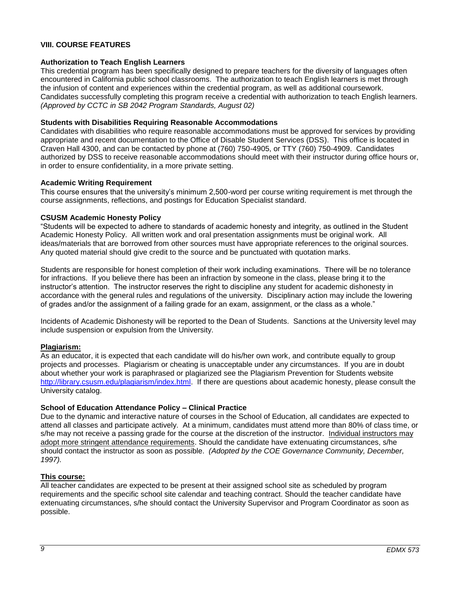## **VIII. COURSE FEATURES**

#### <span id="page-8-0"></span>**Authorization to Teach English Learners**

This credential program has been specifically designed to prepare teachers for the diversity of languages often encountered in California public school classrooms. The authorization to teach English learners is met through the infusion of content and experiences within the credential program, as well as additional coursework. Candidates successfully completing this program receive a credential with authorization to teach English learners. *(Approved by CCTC in SB 2042 Program Standards, August 02)*

#### <span id="page-8-1"></span>**Students with Disabilities Requiring Reasonable Accommodations**

Candidates with disabilities who require reasonable accommodations must be approved for services by providing appropriate and recent documentation to the Office of Disable Student Services (DSS). This office is located in Craven Hall 4300, and can be contacted by phone at (760) 750-4905, or TTY (760) 750-4909. Candidates authorized by DSS to receive reasonable accommodations should meet with their instructor during office hours or, in order to ensure confidentiality, in a more private setting.

#### <span id="page-8-2"></span>**Academic Writing Requirement**

This course ensures that the university's minimum 2,500-word per course writing requirement is met through the course assignments, reflections, and postings for Education Specialist standard.

## <span id="page-8-3"></span>**CSUSM Academic Honesty Policy**

"Students will be expected to adhere to standards of academic honesty and integrity, as outlined in the Student Academic Honesty Policy. All written work and oral presentation assignments must be original work. All ideas/materials that are borrowed from other sources must have appropriate references to the original sources. Any quoted material should give credit to the source and be punctuated with quotation marks.

Students are responsible for honest completion of their work including examinations. There will be no tolerance for infractions. If you believe there has been an infraction by someone in the class, please bring it to the instructor's attention. The instructor reserves the right to discipline any student for academic dishonesty in accordance with the general rules and regulations of the university. Disciplinary action may include the lowering of grades and/or the assignment of a failing grade for an exam, assignment, or the class as a whole."

Incidents of Academic Dishonesty will be reported to the Dean of Students. Sanctions at the University level may include suspension or expulsion from the University.

## <span id="page-8-4"></span>**Plagiarism:**

As an educator, it is expected that each candidate will do his/her own work, and contribute equally to group projects and processes. Plagiarism or cheating is unacceptable under any circumstances. If you are in doubt about whether your work is paraphrased or plagiarized see the Plagiarism Prevention for Students website [http://library.csusm.edu/plagiarism/index.html.](http://library.csusm.edu/plagiarism/index.html) If there are questions about academic honesty, please consult the University catalog.

#### <span id="page-8-5"></span>**School of Education Attendance Policy – Clinical Practice**

Due to the dynamic and interactive nature of courses in the School of Education, all candidates are expected to attend all classes and participate actively. At a minimum, candidates must attend more than 80% of class time, or s/he may not receive a passing grade for the course at the discretion of the instructor. Individual instructors may adopt more stringent attendance requirements. Should the candidate have extenuating circumstances, s/he should contact the instructor as soon as possible. *(Adopted by the COE Governance Community, December, 1997).*

#### <span id="page-8-6"></span>**This course:**

<span id="page-8-7"></span>All teacher candidates are expected to be present at their assigned school site as scheduled by program requirements and the specific school site calendar and teaching contract. Should the teacher candidate have extenuating circumstances, s/he should contact the University Supervisor and Program Coordinator as soon as possible.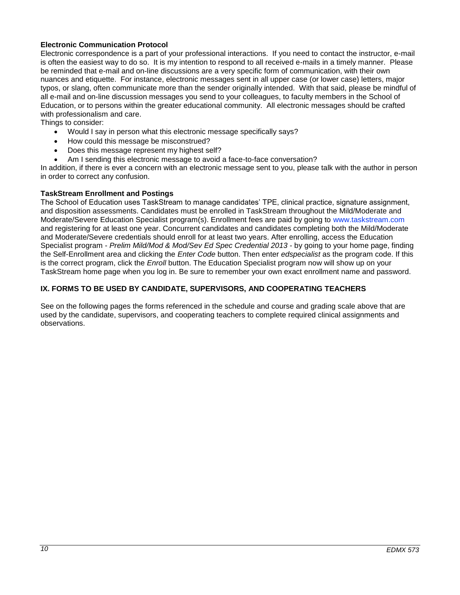## **Electronic Communication Protocol**

Electronic correspondence is a part of your professional interactions. If you need to contact the instructor, e-mail is often the easiest way to do so. It is my intention to respond to all received e-mails in a timely manner. Please be reminded that e-mail and on-line discussions are a very specific form of communication, with their own nuances and etiquette. For instance, electronic messages sent in all upper case (or lower case) letters, major typos, or slang, often communicate more than the sender originally intended. With that said, please be mindful of all e-mail and on-line discussion messages you send to your colleagues, to faculty members in the School of Education, or to persons within the greater educational community. All electronic messages should be crafted with professionalism and care.

Things to consider:

- Would I say in person what this electronic message specifically says?
- How could this message be misconstrued?
- Does this message represent my highest self?
- Am I sending this electronic message to avoid a face-to-face conversation?

In addition, if there is ever a concern with an electronic message sent to you, please talk with the author in person in order to correct any confusion.

#### <span id="page-9-0"></span>**TaskStream Enrollment and Postings**

The School of Education uses TaskStream to manage candidates' TPE, clinical practice, signature assignment, and disposition assessments. Candidates must be enrolled in TaskStream throughout the Mild/Moderate and Moderate/Severe Education Specialist program(s). Enrollment fees are paid by going to [www.taskstream.com](http://www.taskstrem.com/) and registering for at least one year. Concurrent candidates and candidates completing both the Mild/Moderate and Moderate/Severe credentials should enroll for at least two years. After enrolling, access the Education Specialist program - *Prelim Mild/Mod & Mod/Sev Ed Spec Credential 2013* - by going to your home page, finding the Self-Enrollment area and clicking the *Enter Code* button. Then enter *edspecialist* as the program code. If this is the correct program, click the *Enroll* button. The Education Specialist program now will show up on your TaskStream home page when you log in. Be sure to remember your own exact enrollment name and password.

## <span id="page-9-1"></span>**IX. FORMS TO BE USED BY CANDIDATE, SUPERVISORS, AND COOPERATING TEACHERS**

See on the following pages the forms referenced in the schedule and course and grading scale above that are used by the candidate, supervisors, and cooperating teachers to complete required clinical assignments and observations.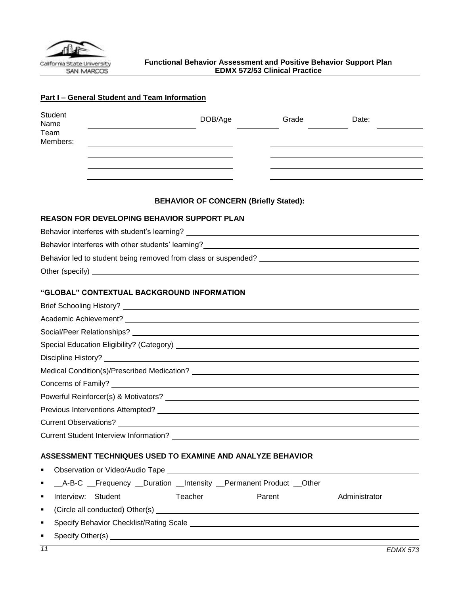<span id="page-10-0"></span>

# **Part I – General Student and Team Information**

| <b>Student</b><br>Name<br>Team<br>Members:                                                                                                                                                                                           | DOB/Age<br>the contract of the contract of the contract of the contract of the contract of | Grade                                                                                                                                                                                                                         | Date:           |
|--------------------------------------------------------------------------------------------------------------------------------------------------------------------------------------------------------------------------------------|--------------------------------------------------------------------------------------------|-------------------------------------------------------------------------------------------------------------------------------------------------------------------------------------------------------------------------------|-----------------|
|                                                                                                                                                                                                                                      |                                                                                            |                                                                                                                                                                                                                               |                 |
|                                                                                                                                                                                                                                      | <b>BEHAVIOR OF CONCERN (Briefly Stated):</b>                                               |                                                                                                                                                                                                                               |                 |
| REASON FOR DEVELOPING BEHAVIOR SUPPORT PLAN                                                                                                                                                                                          |                                                                                            |                                                                                                                                                                                                                               |                 |
| Behavior interferes with student's learning? ___________________________________                                                                                                                                                     |                                                                                            |                                                                                                                                                                                                                               |                 |
| Behavior interferes with other students' learning?<br>Sehavior interferes with other students' learning?                                                                                                                             |                                                                                            |                                                                                                                                                                                                                               |                 |
|                                                                                                                                                                                                                                      |                                                                                            |                                                                                                                                                                                                                               |                 |
| Other (specify) <u>example and the set of the set of the set of the set of the set of the set of the set of the set of the set of the set of the set of the set of the set of the set of the set of the set of the set of the se</u> |                                                                                            |                                                                                                                                                                                                                               |                 |
| "GLOBAL" CONTEXTUAL BACKGROUND INFORMATION                                                                                                                                                                                           |                                                                                            |                                                                                                                                                                                                                               |                 |
|                                                                                                                                                                                                                                      |                                                                                            |                                                                                                                                                                                                                               |                 |
|                                                                                                                                                                                                                                      |                                                                                            |                                                                                                                                                                                                                               |                 |
|                                                                                                                                                                                                                                      |                                                                                            |                                                                                                                                                                                                                               |                 |
|                                                                                                                                                                                                                                      |                                                                                            |                                                                                                                                                                                                                               |                 |
|                                                                                                                                                                                                                                      |                                                                                            |                                                                                                                                                                                                                               |                 |
|                                                                                                                                                                                                                                      |                                                                                            |                                                                                                                                                                                                                               |                 |
|                                                                                                                                                                                                                                      |                                                                                            |                                                                                                                                                                                                                               |                 |
|                                                                                                                                                                                                                                      |                                                                                            |                                                                                                                                                                                                                               |                 |
|                                                                                                                                                                                                                                      |                                                                                            |                                                                                                                                                                                                                               |                 |
|                                                                                                                                                                                                                                      |                                                                                            |                                                                                                                                                                                                                               |                 |
|                                                                                                                                                                                                                                      |                                                                                            |                                                                                                                                                                                                                               |                 |
| ASSESSMENT TECHNIQUES USED TO EXAMINE AND ANALYZE BEHAVIOR                                                                                                                                                                           |                                                                                            |                                                                                                                                                                                                                               |                 |
| ٠                                                                                                                                                                                                                                    |                                                                                            |                                                                                                                                                                                                                               |                 |
| __A-B-C __Frequency __Duration __Intensity __Permanent Product __Other<br>٠                                                                                                                                                          |                                                                                            |                                                                                                                                                                                                                               |                 |
| Interview: Student<br>٠                                                                                                                                                                                                              | Teacher                                                                                    | Parent                                                                                                                                                                                                                        | Administrator   |
| ٠                                                                                                                                                                                                                                    |                                                                                            |                                                                                                                                                                                                                               |                 |
| ٠                                                                                                                                                                                                                                    |                                                                                            |                                                                                                                                                                                                                               |                 |
| ٠                                                                                                                                                                                                                                    |                                                                                            |                                                                                                                                                                                                                               |                 |
| $\overline{11}$                                                                                                                                                                                                                      |                                                                                            | the control of the control of the control of the control of the control of the control of the control of the control of the control of the control of the control of the control of the control of the control of the control | <b>EDMX 573</b> |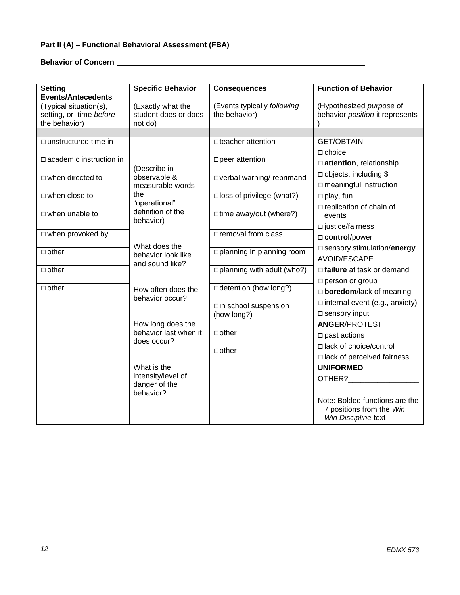# **Part II (A) – Functional Behavioral Assessment (FBA)**

**Behavior of Concern <u>Constantine (and</u> 2014)** 

| <b>Setting</b><br><b>Events/Antecedents</b>                        | <b>Specific Behavior</b>                             | <b>Consequences</b>                          | <b>Function of Behavior</b>                                                       |
|--------------------------------------------------------------------|------------------------------------------------------|----------------------------------------------|-----------------------------------------------------------------------------------|
| (Typical situation(s),<br>setting, or time before<br>the behavior) | (Exactly what the<br>student does or does<br>not do) | (Events typically following<br>the behavior) | (Hypothesized purpose of<br>behavior position it represents                       |
|                                                                    |                                                      |                                              |                                                                                   |
| $\Box$ unstructured time in                                        |                                                      | □ teacher attention                          | <b>GET/OBTAIN</b>                                                                 |
| $\square$ academic instruction in                                  |                                                      |                                              | $\Box$ choice                                                                     |
|                                                                    | (Describe in                                         | □ peer attention                             | attention, relationship                                                           |
| $\Box$ when directed to                                            | observable &                                         | □ verbal warning/ reprimand                  | $\Box$ objects, including \$                                                      |
|                                                                    | measurable words                                     |                                              | $\square$ meaningful instruction                                                  |
| $\Box$ when close to                                               | the                                                  | $\square$ loss of privilege (what?)          | $\Box$ play, fun                                                                  |
|                                                                    | "operational"                                        |                                              | $\Box$ replication of chain of                                                    |
| $\Box$ when unable to                                              | definition of the<br>behavior)                       | □ time away/out (where?)                     | events                                                                            |
|                                                                    |                                                      |                                              | $\square$ justice/fairness                                                        |
| □ when provoked by                                                 |                                                      | □ removal from class                         | □ control/power                                                                   |
|                                                                    | What does the                                        |                                              | $\square$ sensory stimulation/energy                                              |
| $\Box$ other                                                       | behavior look like                                   | □ planning in planning room                  | <b>AVOID/ESCAPE</b>                                                               |
| $\Box$ other                                                       | and sound like?                                      | $\Box$ planning with adult (who?)            | $\Box$ failure at task or demand                                                  |
|                                                                    |                                                      |                                              | $\square$ person or group                                                         |
| $\Box$ other                                                       | How often does the                                   | □ detention (how long?)                      | □ boredom/lack of meaning                                                         |
|                                                                    | behavior occur?                                      |                                              | $\Box$ internal event (e.g., anxiety)                                             |
|                                                                    |                                                      | □in school suspension                        |                                                                                   |
|                                                                    |                                                      | (how long?)                                  | $\square$ sensory input                                                           |
|                                                                    | How long does the<br>behavior last when it           | $\Box$ other                                 | <b>ANGER/PROTEST</b>                                                              |
|                                                                    | does occur?                                          |                                              | $\square$ past actions                                                            |
|                                                                    |                                                      | $\Box$ other                                 | □ lack of choice/control                                                          |
|                                                                    |                                                      |                                              | $\Box$ lack of perceived fairness                                                 |
|                                                                    | What is the                                          |                                              | <b>UNIFORMED</b>                                                                  |
|                                                                    | intensity/level of<br>danger of the                  |                                              | OTHER?                                                                            |
|                                                                    | behavior?                                            |                                              |                                                                                   |
|                                                                    |                                                      |                                              | Note: Bolded functions are the<br>7 positions from the Win<br>Win Discipline text |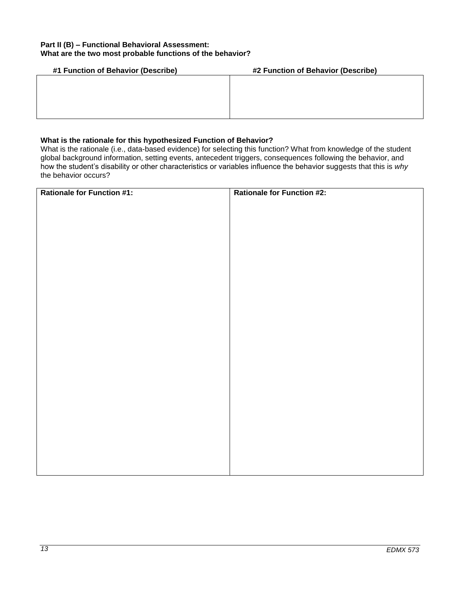## **Part II (B) – Functional Behavioral Assessment: What are the two most probable functions of the behavior?**

| #1 Function of Behavior (Describe) | #2 Function of Behavior (Describe) |
|------------------------------------|------------------------------------|
|                                    |                                    |
|                                    |                                    |
|                                    |                                    |
|                                    |                                    |
|                                    |                                    |

## **What is the rationale for this hypothesized Function of Behavior?**

What is the rationale (i.e., data-based evidence) for selecting this function? What from knowledge of the student global background information, setting events, antecedent triggers, consequences following the behavior, and how the student's disability or other characteristics or variables influence the behavior suggests that this is *why*  the behavior occurs?

| Rationale for Function #1: | <b>Rationale for Function #2:</b> |
|----------------------------|-----------------------------------|
|                            |                                   |
|                            |                                   |
|                            |                                   |
|                            |                                   |
|                            |                                   |
|                            |                                   |
|                            |                                   |
|                            |                                   |
|                            |                                   |
|                            |                                   |
|                            |                                   |
|                            |                                   |
|                            |                                   |
|                            |                                   |
|                            |                                   |
|                            |                                   |
|                            |                                   |
|                            |                                   |
|                            |                                   |
|                            |                                   |
|                            |                                   |
|                            |                                   |
|                            |                                   |
|                            |                                   |
|                            |                                   |
|                            |                                   |
|                            |                                   |
|                            |                                   |
|                            |                                   |
|                            |                                   |
|                            |                                   |
|                            |                                   |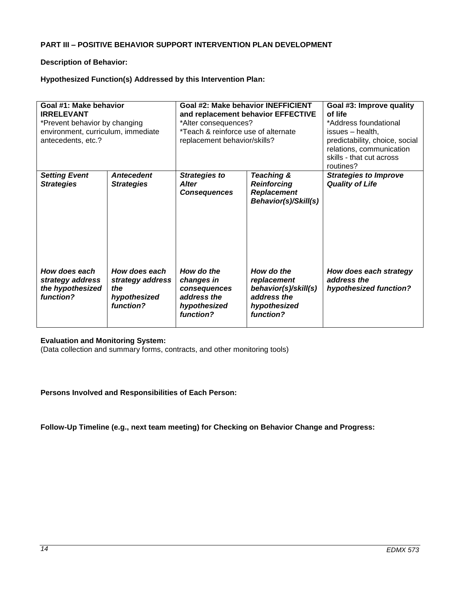## **PART III – POSITIVE BEHAVIOR SUPPORT INTERVENTION PLAN DEVELOPMENT**

## **Description of Behavior:**

## **Hypothesized Function(s) Addressed by this Intervention Plan:**

| Goal #1: Make behavior<br><b>IRRELEVANT</b><br>*Prevent behavior by changing<br>environment, curriculum, immediate<br>antecedents, etc.? |                                                                       | *Alter consequences?<br>*Teach & reinforce use of alternate<br>replacement behavior/skills? | Goal #2: Make behavior INEFFICIENT<br>and replacement behavior EFFECTIVE                      | Goal #3: Improve quality<br>of life<br>*Address foundational<br>issues - health,<br>predictability, choice, social<br>relations, communication<br>skills - that cut across<br>routines? |  |  |  |  |  |
|------------------------------------------------------------------------------------------------------------------------------------------|-----------------------------------------------------------------------|---------------------------------------------------------------------------------------------|-----------------------------------------------------------------------------------------------|-----------------------------------------------------------------------------------------------------------------------------------------------------------------------------------------|--|--|--|--|--|
| <b>Setting Event</b><br><b>Strategies</b>                                                                                                | <b>Antecedent</b><br><b>Strategies</b>                                | <b>Strategies to</b><br><b>Alter</b><br><b>Consequences</b>                                 | Teaching &<br><b>Reinforcing</b><br><b>Replacement</b><br>Behavior(s)/Skill(s)                | <b>Strategies to Improve</b><br><b>Quality of Life</b>                                                                                                                                  |  |  |  |  |  |
| How does each<br>strategy address<br>the hypothesized<br>function?                                                                       | How does each<br>strategy address<br>the<br>hypothesized<br>function? |                                                                                             | How do the<br>replacement<br>behavior(s)/skill(s)<br>address the<br>hypothesized<br>function? | How does each strategy<br>address the<br>hypothesized function?                                                                                                                         |  |  |  |  |  |

## **Evaluation and Monitoring System:**

(Data collection and summary forms, contracts, and other monitoring tools)

## **Persons Involved and Responsibilities of Each Person:**

**Follow-Up Timeline (e.g., next team meeting) for Checking on Behavior Change and Progress:**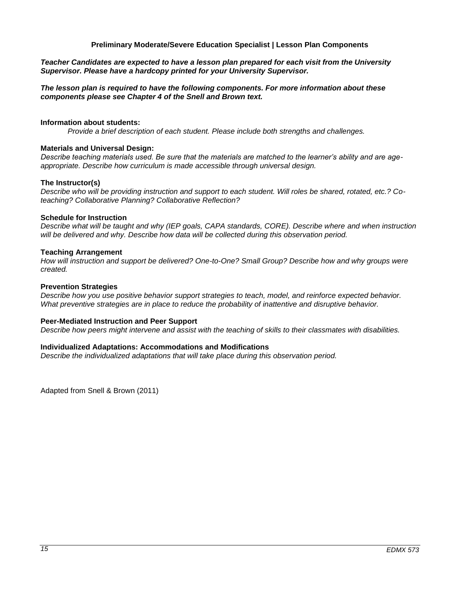#### **Preliminary Moderate/Severe Education Specialist | Lesson Plan Components**

<span id="page-14-0"></span>*Teacher Candidates are expected to have a lesson plan prepared for each visit from the University Supervisor. Please have a hardcopy printed for your University Supervisor.* 

#### *The lesson plan is required to have the following components. For more information about these components please see Chapter 4 of the Snell and Brown text.*

#### **Information about students:**

*Provide a brief description of each student. Please include both strengths and challenges.* 

#### **Materials and Universal Design:**

*Describe teaching materials used. Be sure that the materials are matched to the learner's ability and are ageappropriate. Describe how curriculum is made accessible through universal design.* 

#### **The Instructor(s)**

*Describe who will be providing instruction and support to each student. Will roles be shared, rotated, etc.? Coteaching? Collaborative Planning? Collaborative Reflection?* 

#### **Schedule for Instruction**

*Describe what will be taught and why (IEP goals, CAPA standards, CORE). Describe where and when instruction*  will be delivered and why. Describe how data will be collected during this observation period.

#### **Teaching Arrangement**

*How will instruction and support be delivered? One-to-One? Small Group? Describe how and why groups were created.*

#### **Prevention Strategies**

*Describe how you use positive behavior support strategies to teach, model, and reinforce expected behavior. What preventive strategies are in place to reduce the probability of inattentive and disruptive behavior.* 

#### **Peer-Mediated Instruction and Peer Support**

*Describe how peers might intervene and assist with the teaching of skills to their classmates with disabilities.* 

#### **Individualized Adaptations: Accommodations and Modifications**

*Describe the individualized adaptations that will take place during this observation period.* 

Adapted from Snell & Brown (2011)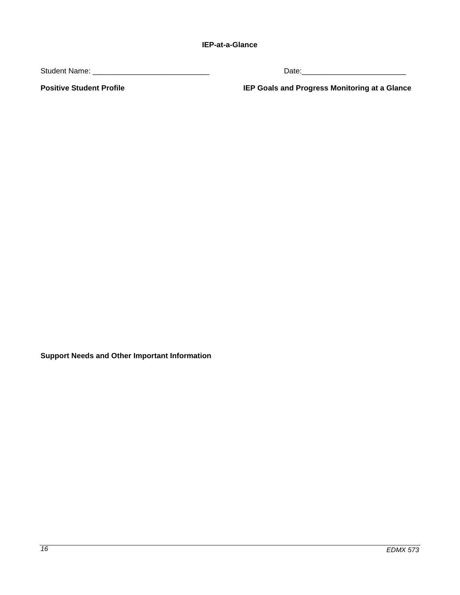<span id="page-15-0"></span>Student Name: \_\_\_\_\_\_\_\_\_\_\_\_\_\_\_\_\_\_\_\_\_\_\_\_\_\_\_\_ Date:\_\_\_\_\_\_\_\_\_\_\_\_\_\_\_\_\_\_\_\_\_\_\_\_\_

**Positive Student Profile IEP Goals and Progress Monitoring at a Glance**

**Support Needs and Other Important Information**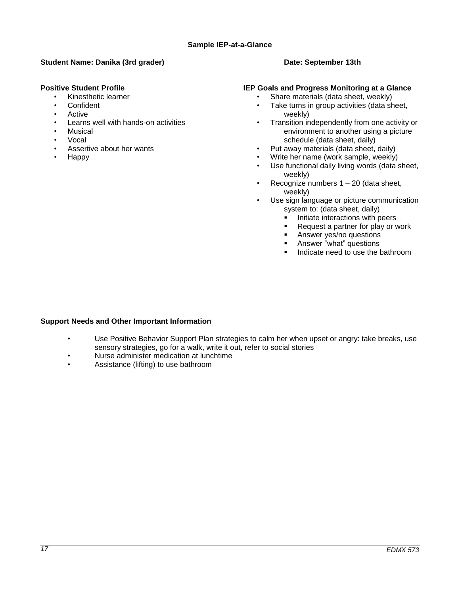## <span id="page-16-0"></span>**Student Name: Danika (3rd grader) Date: September 13th Date: September 13th**

## **Positive Student Profile**

- Kinesthetic learner
- **Confident**
- Active
- Learns well with hands-on activities
- **Musical**
- Vocal
- Assertive about her wants
- Happy

## **IEP Goals and Progress Monitoring at a Glance**

- Share materials (data sheet, weekly)
- Take turns in group activities (data sheet, weekly)
- Transition independently from one activity or environment to another using a picture schedule (data sheet, daily)
- Put away materials (data sheet, daily)
- Write her name (work sample, weekly)
- Use functional daily living words (data sheet, weekly)
- Recognize numbers  $1 20$  (data sheet, weekly)
- Use sign language or picture communication system to: (data sheet, daily)
	- Initiate interactions with peers<br>Request a partner for play or w
	- Request a partner for play or work
	- **Answer yes/no questions**
	- **Answer "what" questions**
	- Indicate need to use the bathroom

## **Support Needs and Other Important Information**

- Use Positive Behavior Support Plan strategies to calm her when upset or angry: take breaks, use sensory strategies, go for a walk, write it out, refer to social stories
- Nurse administer medication at lunchtime
- Assistance (lifting) to use bathroom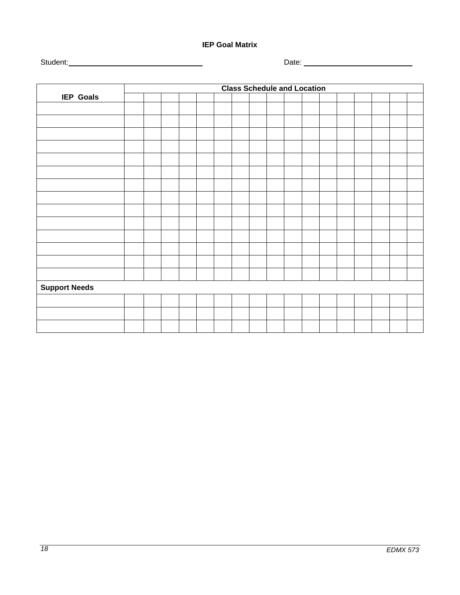**IEP Goal Matrix**

<span id="page-17-0"></span>Student: Date:

|                      | <b>Class Schedule and Location</b> |  |  |  |  |  |  |  |  |  |  |  |  |  |  |
|----------------------|------------------------------------|--|--|--|--|--|--|--|--|--|--|--|--|--|--|
| <b>IEP Goals</b>     |                                    |  |  |  |  |  |  |  |  |  |  |  |  |  |  |
|                      |                                    |  |  |  |  |  |  |  |  |  |  |  |  |  |  |
|                      |                                    |  |  |  |  |  |  |  |  |  |  |  |  |  |  |
|                      |                                    |  |  |  |  |  |  |  |  |  |  |  |  |  |  |
|                      |                                    |  |  |  |  |  |  |  |  |  |  |  |  |  |  |
|                      |                                    |  |  |  |  |  |  |  |  |  |  |  |  |  |  |
|                      |                                    |  |  |  |  |  |  |  |  |  |  |  |  |  |  |
|                      |                                    |  |  |  |  |  |  |  |  |  |  |  |  |  |  |
|                      |                                    |  |  |  |  |  |  |  |  |  |  |  |  |  |  |
|                      |                                    |  |  |  |  |  |  |  |  |  |  |  |  |  |  |
|                      |                                    |  |  |  |  |  |  |  |  |  |  |  |  |  |  |
|                      |                                    |  |  |  |  |  |  |  |  |  |  |  |  |  |  |
|                      |                                    |  |  |  |  |  |  |  |  |  |  |  |  |  |  |
|                      |                                    |  |  |  |  |  |  |  |  |  |  |  |  |  |  |
|                      |                                    |  |  |  |  |  |  |  |  |  |  |  |  |  |  |
| <b>Support Needs</b> |                                    |  |  |  |  |  |  |  |  |  |  |  |  |  |  |
|                      |                                    |  |  |  |  |  |  |  |  |  |  |  |  |  |  |
|                      |                                    |  |  |  |  |  |  |  |  |  |  |  |  |  |  |
|                      |                                    |  |  |  |  |  |  |  |  |  |  |  |  |  |  |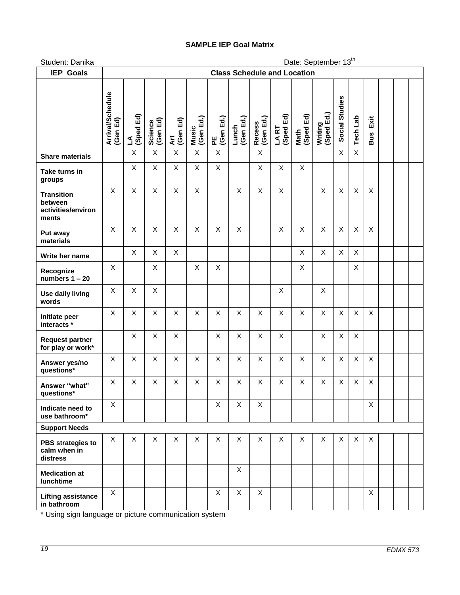## **SAMPLE IEP Goal Matrix**

<span id="page-18-0"></span>Student: Danika Date: September 13<sup>th</sup>

| <b>IEP Goals</b>                                            | <b>Class Schedule and Location</b> |                   |                     |                 |                    |                |                    |                            |                    |                   |                       |                |                 |                    |  |  |
|-------------------------------------------------------------|------------------------------------|-------------------|---------------------|-----------------|--------------------|----------------|--------------------|----------------------------|--------------------|-------------------|-----------------------|----------------|-----------------|--------------------|--|--|
|                                                             | Arrival/Schedule<br>(Gen Ed)       | Ed)<br>(Sped<br>٤ | Science<br>(Gen Ed) | Art<br>(Gen Ed) | Music<br>(Gen Ed.) | (Gen Ed.)<br>뿐 | (Gen Ed.)<br>Lunch | (Gen Ed.)<br><b>Recess</b> | LA RT<br>(Sped Ed) | Math<br>(Sped Ed) | Writing<br>(Sped Ed.) | Social Studies | <b>Tech Lab</b> | Exit<br><b>Bus</b> |  |  |
| <b>Share materials</b>                                      |                                    | X                 | X                   | $\mathsf X$     | $\mathsf X$        | X              |                    | X                          |                    |                   |                       | X              | X               |                    |  |  |
| Take turns in<br>groups                                     |                                    | X                 | X                   | X               | X                  | X              |                    | X                          | Χ                  | X                 |                       |                |                 |                    |  |  |
| <b>Transition</b><br>between<br>activities/environ<br>ments | X                                  | X                 | X                   | X               | X                  |                | X                  | X                          | X                  |                   | $\mathsf{X}$          | X              | $\pmb{\times}$  | X                  |  |  |
| Put away<br>materials                                       | X                                  | X                 | X                   | X               | X                  | X              | X                  |                            | X                  | X                 | X                     | X              | X               | X                  |  |  |
| Write her name                                              |                                    | X                 | X                   | X               |                    |                |                    |                            |                    | X                 | X                     | X              | X               |                    |  |  |
| Recognize<br>numbers $1 - 20$                               | X                                  |                   | X                   |                 | X                  | $\mathsf{X}$   |                    |                            |                    | X                 |                       |                | X               |                    |  |  |
| Use daily living<br>words                                   | X                                  | X                 | X                   |                 |                    |                |                    |                            | X                  |                   | X                     |                |                 |                    |  |  |
| Initiate peer<br>interacts *                                | X                                  | X                 | X                   | X               | X                  | X              | X                  | X                          | X                  | X                 | $\mathsf{X}$          | $\pmb{\times}$ | X               | X                  |  |  |
| <b>Request partner</b><br>for play or work*                 |                                    | X                 | X                   | X               |                    | X              | X                  | X                          | X                  |                   | X                     | $\mathsf X$    | X               |                    |  |  |
| Answer yes/no<br>questions*                                 | X                                  | X                 | X                   | X               | X                  | X              | X                  | X                          | X                  | X                 | $\mathsf{X}$          | $\mathsf{X}$   | X               | $\mathsf{X}$       |  |  |
| Answer "what"<br>questions*                                 | X                                  | X                 | X                   | X               | X                  | X              | X                  | X                          | X                  | X                 | X                     | X              | X               | X                  |  |  |
| Indicate need to<br>use bathroom*                           | $\mathsf{X}$                       |                   |                     |                 |                    | Χ              | X                  | X                          |                    |                   |                       |                |                 | $\sf X$            |  |  |
| <b>Support Needs</b>                                        |                                    |                   |                     |                 |                    |                |                    |                            |                    |                   |                       |                |                 |                    |  |  |
| <b>PBS</b> strategies to<br>calm when in<br>distress        | X                                  | X                 | X                   | X               | X                  | X              | X                  | X                          | X                  | X                 | X                     | X              | X               | X                  |  |  |
| <b>Medication at</b><br>lunchtime                           |                                    |                   |                     |                 |                    |                | X                  |                            |                    |                   |                       |                |                 |                    |  |  |
| <b>Lifting assistance</b><br>in bathroom                    | $\mathsf{X}$                       |                   |                     |                 |                    | X              | X                  | X                          |                    |                   |                       |                |                 | $\mathsf{X}$       |  |  |

\* Using sign language or picture communication system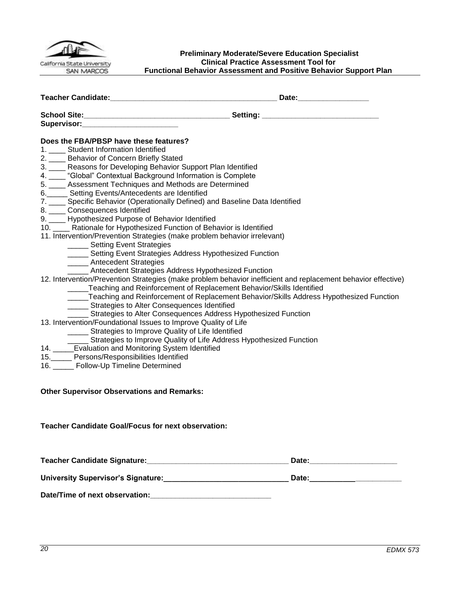

#### <span id="page-19-0"></span>**Preliminary Moderate/Severe Education Specialist Clinical Practice Assessment Tool for Functional Behavior Assessment and Positive Behavior Support Plan**

| Supervisor: Supervisor:                                                                                                                                                                                                         |                                                                                                                                                                                                               |
|---------------------------------------------------------------------------------------------------------------------------------------------------------------------------------------------------------------------------------|---------------------------------------------------------------------------------------------------------------------------------------------------------------------------------------------------------------|
| Does the FBA/PBSP have these features?<br>1. ___ Student Information Identified                                                                                                                                                 |                                                                                                                                                                                                               |
| 2. ___ Behavior of Concern Briefly Stated<br>3. Reasons for Developing Behavior Support Plan Identified<br>4. Clobal" Contextual Background Information is Complete<br>5. ____ Assessment Techniques and Methods are Determined |                                                                                                                                                                                                               |
| 6. Setting Events/Antecedents are Identified<br>7. ___ Specific Behavior (Operationally Defined) and Baseline Data Identified<br>8. ____ Consequences Identified                                                                |                                                                                                                                                                                                               |
| 9. ___ Hypothesized Purpose of Behavior Identified<br>10. ___ Rationale for Hypothesized Function of Behavior is Identified<br>11. Intervention/Prevention Strategies (make problem behavior irrelevant)                        |                                                                                                                                                                                                               |
| ______ Setting Event Strategies<br>_____ Setting Event Strategies Address Hypothesized Function<br>______ Antecedent Strategies<br>______ Antecedent Strategies Address Hypothesized Function                                   |                                                                                                                                                                                                               |
| _____Teaching and Reinforcement of Replacement Behavior/Skills Identified<br>______ Strategies to Alter Consequences Identified<br>____ Strategies to Alter Consequences Address Hypothesized Function                          | 12. Intervention/Prevention Strategies (make problem behavior inefficient and replacement behavior effective)<br>_____Teaching and Reinforcement of Replacement Behavior/Skills Address Hypothesized Function |
| 13. Intervention/Foundational Issues to Improve Quality of Life<br>______ Strategies to Improve Quality of Life Identified<br>______ Strategies to Improve Quality of Life Address Hypothesized Function                        |                                                                                                                                                                                                               |
| 14. _____Evaluation and Monitoring System Identified<br>15._____ Persons/Responsibilities Identified<br>16. _____ Follow-Up Timeline Determined                                                                                 |                                                                                                                                                                                                               |
| <b>Other Supervisor Observations and Remarks:</b>                                                                                                                                                                               |                                                                                                                                                                                                               |
| <b>Teacher Candidate Goal/Focus for next observation:</b>                                                                                                                                                                       |                                                                                                                                                                                                               |

| <b>Teacher Candidate Signature:</b>       | Date: |  |
|-------------------------------------------|-------|--|
| <b>University Supervisor's Signature:</b> | Date: |  |
| Date/Time of next observation:            |       |  |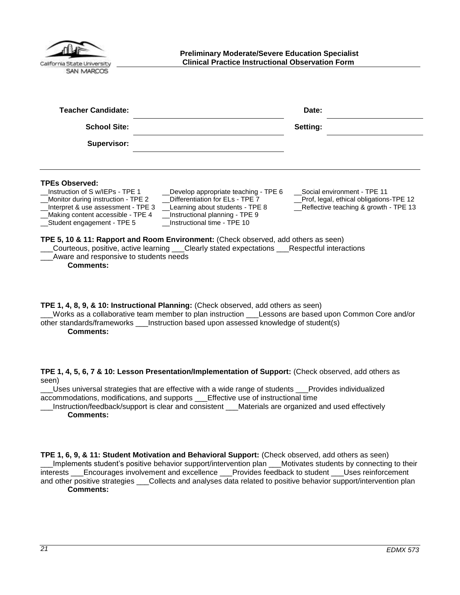<span id="page-20-0"></span>

| California State University |  |
|-----------------------------|--|
| <b>SAN MARCOS</b>           |  |

| Teacher Candidate:                                                                                                                                                                                                                                                                                                                                                                          | Date:                                                                                                             |
|---------------------------------------------------------------------------------------------------------------------------------------------------------------------------------------------------------------------------------------------------------------------------------------------------------------------------------------------------------------------------------------------|-------------------------------------------------------------------------------------------------------------------|
| <b>School Site:</b>                                                                                                                                                                                                                                                                                                                                                                         | Setting:                                                                                                          |
| Supervisor:                                                                                                                                                                                                                                                                                                                                                                                 |                                                                                                                   |
| <b>TPEs Observed:</b><br>Instruction of S w/IEPs - TPE 1<br>Develop appropriate teaching - TPE 6<br>Differentiation for ELs - TPE 7<br>_Monitor during instruction - TPE 2<br>Interpret & use assessment - TPE 3<br>Learning about students - TPE 8<br>_Instructional planning - TPE 9<br>_Making content accessible - TPE 4<br>Instructional time - TPE 10<br>__Student engagement - TPE 5 | Social environment - TPE 11<br>_Prof, legal, ethical obligations-TPE 12<br>_Reflective teaching & growth - TPE 13 |
| TPE 5, 10 & 11: Rapport and Room Environment: (Check observed, add others as seen)<br>Courteous, positive, active learning ___Clearly stated expectations ___Respectful interactions<br>Aware and responsive to students needs<br><b>Comments:</b>                                                                                                                                          |                                                                                                                   |

**TPE 1, 4, 8, 9, & 10: Instructional Planning:** (Check observed, add others as seen)

\_\_\_Works as a collaborative team member to plan instruction \_\_\_Lessons are based upon Common Core and/or other standards/frameworks \_\_\_Instruction based upon assessed knowledge of student(s) **Comments:**

**TPE 1, 4, 5, 6, 7 & 10: Lesson Presentation/Implementation of Support:** (Check observed, add others as seen)

Uses universal strategies that are effective with a wide range of students Provides individualized accommodations, modifications, and supports \_\_\_Effective use of instructional time

Instruction/feedback/support is clear and consistent Materials are organized and used effectively **Comments:**

**TPE 1, 6, 9, & 11: Student Motivation and Behavioral Support:** (Check observed, add others as seen) \_\_\_Implements student's positive behavior support/intervention plan \_\_\_Motivates students by connecting to their interests \_\_\_Encourages involvement and excellence \_\_\_Provides feedback to student \_\_\_Uses reinforcement and other positive strategies \_\_\_Collects and analyses data related to positive behavior support/intervention plan **Comments:**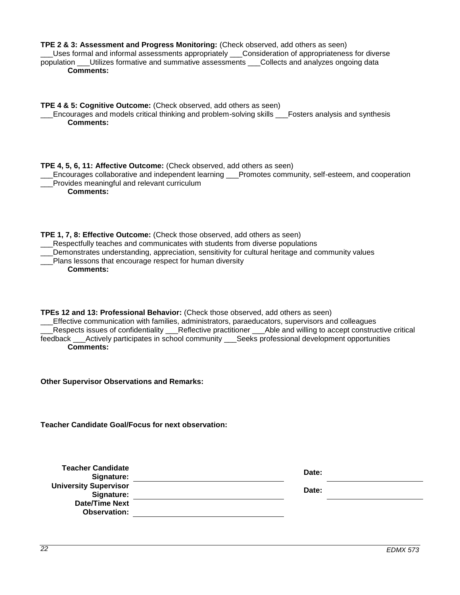| TPE 2 & 3: Assessment and Progress Monitoring: (Check observed, add others as seen)<br>Uses formal and informal assessments appropriately ___Consideration of appropriateness for diverse<br>population ___Utilizes formative and summative assessments ___Collects and analyzes ongoing data<br><b>Comments:</b>                                                                                                                       |       |
|-----------------------------------------------------------------------------------------------------------------------------------------------------------------------------------------------------------------------------------------------------------------------------------------------------------------------------------------------------------------------------------------------------------------------------------------|-------|
| TPE 4 & 5: Cognitive Outcome: (Check observed, add others as seen)<br>Encourages and models critical thinking and problem-solving skills ___Fosters analysis and synthesis<br><b>Comments:</b>                                                                                                                                                                                                                                          |       |
| TPE 4, 5, 6, 11: Affective Outcome: (Check observed, add others as seen)<br>Encourages collaborative and independent learning ___Promotes community, self-esteem, and cooperation<br>Provides meaningful and relevant curriculum<br><b>Comments:</b>                                                                                                                                                                                    |       |
| TPE 1, 7, 8: Effective Outcome: (Check those observed, add others as seen)<br>Respectfully teaches and communicates with students from diverse populations<br>Demonstrates understanding, appreciation, sensitivity for cultural heritage and community values<br>Plans lessons that encourage respect for human diversity<br><b>Comments:</b>                                                                                          |       |
| TPEs 12 and 13: Professional Behavior: (Check those observed, add others as seen)<br>Effective communication with families, administrators, paraeducators, supervisors and colleagues<br>Respects issues of confidentiality __Reflective practitioner ___Able and willing to accept constructive critical<br>feedback ___Actively participates in school community ____Seeks professional development opportunities<br><b>Comments:</b> |       |
| <b>Other Supervisor Observations and Remarks:</b>                                                                                                                                                                                                                                                                                                                                                                                       |       |
| <b>Teacher Candidate Goal/Focus for next observation:</b>                                                                                                                                                                                                                                                                                                                                                                               |       |
| <b>Teacher Candidate</b><br>Signature:                                                                                                                                                                                                                                                                                                                                                                                                  | Date: |
| <b>University Supervisor</b><br>Signature:                                                                                                                                                                                                                                                                                                                                                                                              | Date: |
| <b>Date/Time Next</b>                                                                                                                                                                                                                                                                                                                                                                                                                   |       |
| <b>Observation:</b>                                                                                                                                                                                                                                                                                                                                                                                                                     |       |
|                                                                                                                                                                                                                                                                                                                                                                                                                                         |       |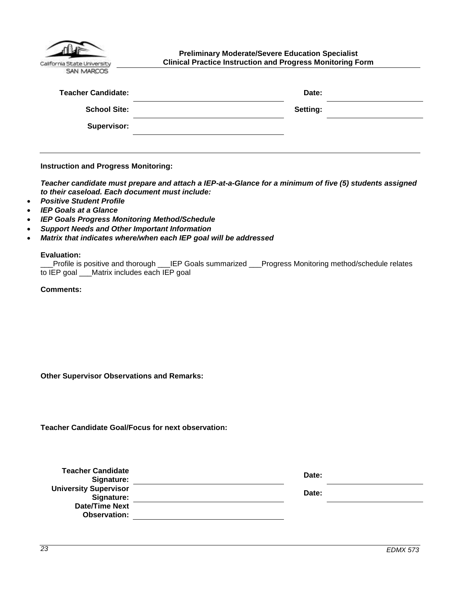| California State University |
|-----------------------------|
| <b>NAADCO</b>               |

<span id="page-22-0"></span>**Preliminary Moderate/Severe Education Specialist Clinical Practice Instruction and Progress Monitoring Form**

| <b>Teacher Candidate:</b> | Date:    |  |
|---------------------------|----------|--|
| <b>School Site:</b>       | Setting: |  |
| <b>Supervisor:</b>        |          |  |

**Instruction and Progress Monitoring:**

*Teacher candidate must prepare and attach a IEP-at-a-Glance for a minimum of five (5) students assigned to their caseload. Each document must include:*

- *Positive Student Profile*
- *IEP Goals at a Glance*
- *IEP Goals Progress Monitoring Method/Schedule*
- *Support Needs and Other Important Information*
- *Matrix that indicates where/when each IEP goal will be addressed*

#### **Evaluation:**

|                                              | Profile is positive and thorough ___IEP Goals summarized ___Progress Monitoring method/schedule relates_______ |
|----------------------------------------------|----------------------------------------------------------------------------------------------------------------|
| to IEP goal ___Matrix includes each IEP goal |                                                                                                                |

**Comments:**

**Other Supervisor Observations and Remarks:**

**Teacher Candidate Goal/Focus for next observation:**

| <b>Teacher Candidate</b><br>Signature:     | Date: |  |
|--------------------------------------------|-------|--|
| <b>University Supervisor</b><br>Signature: | Date: |  |
| <b>Date/Time Next</b><br>Observation:      |       |  |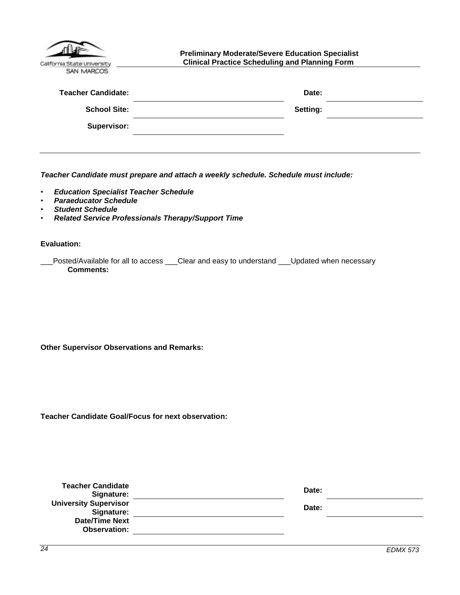<span id="page-23-0"></span>

| California State University<br><b>SAN MARCOS</b> | <b>Preliminary Moderate/Severe Education Specialist</b><br><b>Clinical Practice Scheduling and Planning Form</b> |  |
|--------------------------------------------------|------------------------------------------------------------------------------------------------------------------|--|
| <b>Teacher Candidate:</b>                        | Date:                                                                                                            |  |
| <b>School Site:</b>                              | Setting:                                                                                                         |  |
| Supervisor:                                      |                                                                                                                  |  |
|                                                  |                                                                                                                  |  |

*Teacher Candidate must prepare and attach a weekly schedule. Schedule must include:*

- *Education Specialist Teacher Schedule*
- *Paraeducator Schedule*
- *Student Schedule*
- *Related Service Professionals Therapy/Support Time*

**Evaluation:**

| Posted/Available for all to access | Clear and easy to understand | I __Updated when necessary |
|------------------------------------|------------------------------|----------------------------|
| <b>Comments:</b>                   |                              |                            |

**Other Supervisor Observations and Remarks:**

**Teacher Candidate Goal/Focus for next observation:**

| <b>Teacher Candidate</b><br>Signature:       | Date: |
|----------------------------------------------|-------|
| <b>University Supervisor</b><br>Signature:   | Date: |
| <b>Date/Time Next</b><br><b>Observation:</b> |       |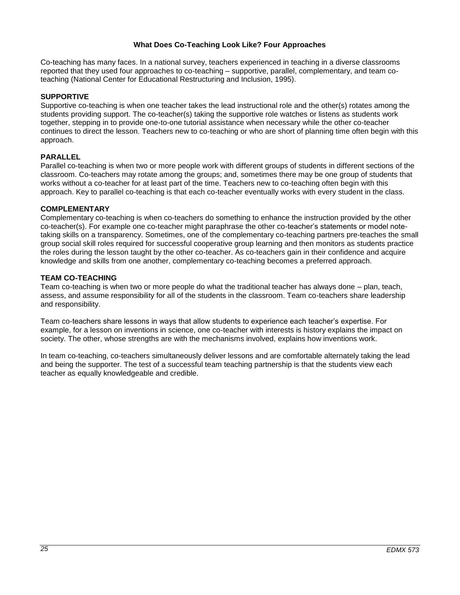#### **What Does Co-Teaching Look Like? Four Approaches**

<span id="page-24-0"></span>Co-teaching has many faces. In a national survey, teachers experienced in teaching in a diverse classrooms reported that they used four approaches to co-teaching – supportive, parallel, complementary, and team coteaching (National Center for Educational Restructuring and Inclusion, 1995).

## **SUPPORTIVE**

Supportive co-teaching is when one teacher takes the lead instructional role and the other(s) rotates among the students providing support. The co-teacher(s) taking the supportive role watches or listens as students work together, stepping in to provide one-to-one tutorial assistance when necessary while the other co-teacher continues to direct the lesson. Teachers new to co-teaching or who are short of planning time often begin with this approach.

## **PARALLEL**

Parallel co-teaching is when two or more people work with different groups of students in different sections of the classroom. Co-teachers may rotate among the groups; and, sometimes there may be one group of students that works without a co-teacher for at least part of the time. Teachers new to co-teaching often begin with this approach. Key to parallel co-teaching is that each co-teacher eventually works with every student in the class.

#### **COMPLEMENTARY**

Complementary co-teaching is when co-teachers do something to enhance the instruction provided by the other co-teacher(s). For example one co-teacher might paraphrase the other co-teacher's statements or model notetaking skills on a transparency. Sometimes, one of the complementary co-teaching partners pre-teaches the small group social skill roles required for successful cooperative group learning and then monitors as students practice the roles during the lesson taught by the other co-teacher. As co-teachers gain in their confidence and acquire knowledge and skills from one another, complementary co-teaching becomes a preferred approach.

## **TEAM CO-TEACHING**

Team co-teaching is when two or more people do what the traditional teacher has always done – plan, teach, assess, and assume responsibility for all of the students in the classroom. Team co-teachers share leadership and responsibility.

Team co-teachers share lessons in ways that allow students to experience each teacher's expertise. For example, for a lesson on inventions in science, one co-teacher with interests is history explains the impact on society. The other, whose strengths are with the mechanisms involved, explains how inventions work.

In team co-teaching, co-teachers simultaneously deliver lessons and are comfortable alternately taking the lead and being the supporter. The test of a successful team teaching partnership is that the students view each teacher as equally knowledgeable and credible.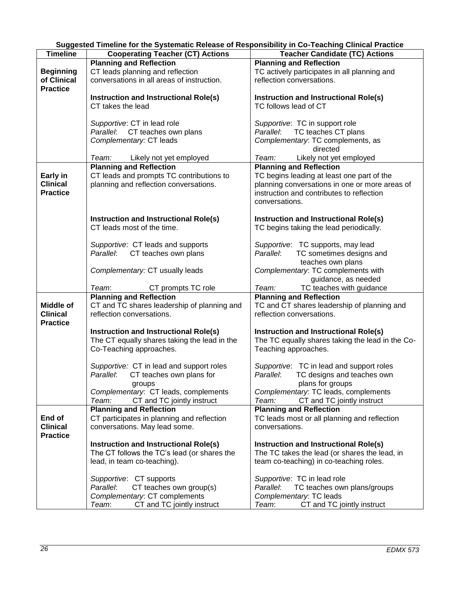|  | Suggested Timeline for the Systematic Release of Responsibility in Co-Teaching Clinical Practice |
|--|--------------------------------------------------------------------------------------------------|
|  |                                                                                                  |

<span id="page-25-0"></span>

| <b>Timeline</b>  | <b>Cooperating Teacher (CT) Actions</b>                                    | <b>Teacher Candidate (TC) Actions</b>                                    |
|------------------|----------------------------------------------------------------------------|--------------------------------------------------------------------------|
|                  | <b>Planning and Reflection</b>                                             | <b>Planning and Reflection</b>                                           |
| <b>Beginning</b> | CT leads planning and reflection                                           | TC actively participates in all planning and                             |
| of Clinical      | conversations in all areas of instruction.                                 | reflection conversations.                                                |
| <b>Practice</b>  |                                                                            |                                                                          |
|                  | Instruction and Instructional Role(s)                                      | Instruction and Instructional Role(s)                                    |
|                  | CT takes the lead                                                          | TC follows lead of CT                                                    |
|                  |                                                                            |                                                                          |
|                  | Supportive: CT in lead role                                                | Supportive: TC in support role                                           |
|                  | Parallel: CT teaches own plans                                             | Parallel: TC teaches CT plans                                            |
|                  | Complementary: CT leads                                                    | Complementary: TC complements, as                                        |
|                  |                                                                            | directed                                                                 |
|                  |                                                                            |                                                                          |
|                  | Team: Likely not yet employed                                              | Team: Likely not yet employed                                            |
|                  | <b>Planning and Reflection</b>                                             | <b>Planning and Reflection</b>                                           |
| Early in         | CT leads and prompts TC contributions to                                   | TC begins leading at least one part of the                               |
| <b>Clinical</b>  | planning and reflection conversations.                                     | planning conversations in one or more areas of                           |
| <b>Practice</b>  |                                                                            | instruction and contributes to reflection                                |
|                  |                                                                            | conversations.                                                           |
|                  |                                                                            |                                                                          |
|                  | <b>Instruction and Instructional Role(s)</b><br>CT leads most of the time. | <b>Instruction and Instructional Role(s)</b>                             |
|                  |                                                                            | TC begins taking the lead periodically.                                  |
|                  | Supportive: CT leads and supports                                          | Supportive: TC supports, may lead                                        |
|                  | Parallel: CT teaches own plans                                             | Parallel: TC sometimes designs and                                       |
|                  |                                                                            | teaches own plans                                                        |
|                  |                                                                            |                                                                          |
|                  | Complementary: CT usually leads                                            | Complementary: TC complements with                                       |
|                  | Team:                                                                      | guidance, as needed<br>Team:                                             |
|                  | CT prompts TC role<br><b>Planning and Reflection</b>                       | TC teaches with guidance                                                 |
| Middle of        | CT and TC shares leadership of planning and                                | <b>Planning and Reflection</b>                                           |
| <b>Clinical</b>  | reflection conversations.                                                  | TC and CT shares leadership of planning and<br>reflection conversations. |
| <b>Practice</b>  |                                                                            |                                                                          |
|                  | Instruction and Instructional Role(s)                                      | <b>Instruction and Instructional Role(s)</b>                             |
|                  | The CT equally shares taking the lead in the                               | The TC equally shares taking the lead in the Co-                         |
|                  | Co-Teaching approaches.                                                    | Teaching approaches.                                                     |
|                  |                                                                            |                                                                          |
|                  | Supportive: CT in lead and support roles                                   | Supportive: TC in lead and support roles                                 |
|                  | CT teaches own plans for<br>Parallel:                                      | TC designs and teaches own<br>Parallel:                                  |
|                  | groups                                                                     | plans for groups                                                         |
|                  | Complementary: CT leads, complements                                       | Complementary: TC leads, complements                                     |
|                  | CT and TC jointly instruct<br>Team:                                        | CT and TC jointly instruct<br>Team:                                      |
|                  | <b>Planning and Reflection</b>                                             | <b>Planning and Reflection</b>                                           |
| End of           | CT participates in planning and reflection                                 | TC leads most or all planning and reflection                             |
| <b>Clinical</b>  | conversations. May lead some.                                              | conversations.                                                           |
| <b>Practice</b>  |                                                                            |                                                                          |
|                  | Instruction and Instructional Role(s)                                      | Instruction and Instructional Role(s)                                    |
|                  | The CT follows the TC's lead (or shares the                                | The TC takes the lead (or shares the lead, in                            |
|                  | lead, in team co-teaching).                                                | team co-teaching) in co-teaching roles.                                  |
|                  |                                                                            |                                                                          |
|                  | Supportive: CT supports                                                    | Supportive: TC in lead role                                              |
|                  | Parallel:<br>CT teaches own group(s)                                       | Parallel:<br>TC teaches own plans/groups                                 |
|                  | Complementary: CT complements                                              | Complementary: TC leads                                                  |
|                  | Team:<br>CT and TC jointly instruct                                        | Team:<br>CT and TC jointly instruct                                      |